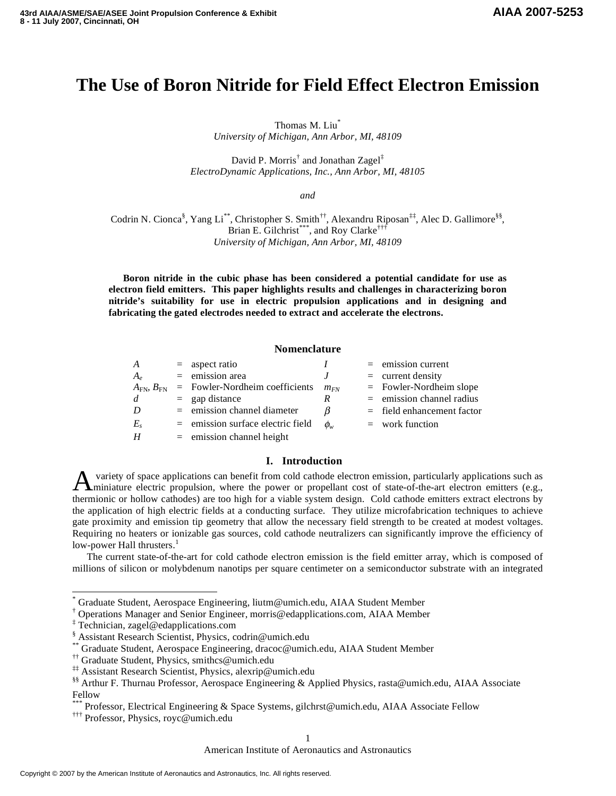# **The Use of Boron Nitride for Field Effect Electron Emission**

Thomas M. Liu\* *University of Michigan, Ann Arbor, MI, 48109* 

David P. Morris<sup>†</sup> and Jonathan Zagel<sup>‡</sup> *ElectroDynamic Applications, Inc., Ann Arbor, MI, 48105* 

*and* 

Codrin N. Cionca<sup>§</sup>, Yang Li<sup>\*\*</sup>, Christopher S. Smith<sup>††</sup>, Alexandru Riposan<sup>‡‡</sup>, Alec D. Gallimore<sup>§§</sup>, Brian E. Gilchrist<sup>\*\*\*</sup>, and Roy Clarke<sup>††</sup> *University of Michigan, Ann Arbor, MI, 48109*

**Boron nitride in the cubic phase has been considered a potential candidate for use as electron field emitters. This paper highlights results and challenges in characterizing boron nitride's suitability for use in electric propulsion applications and in designing and fabricating the gated electrodes needed to extract and accelerate the electrons.** 

## **Nomenclature**

| $\boldsymbol{A}$           | $=$ aspect ratio                    |            | $=$ emission current         |
|----------------------------|-------------------------------------|------------|------------------------------|
| $A_{\scriptscriptstyle e}$ | $=$ emission area                   |            | $=$ current density          |
| $A_{\rm FN},\,B_{\rm FN}$  | $=$ Fowler-Nordheim coefficients    | $m_{FN}$   | $=$ Fowler-Nordheim slope    |
| d                          | $=$ gap distance                    | R          | $=$ emission channel radius  |
| D                          | $=$ emission channel diameter       |            | $=$ field enhancement factor |
| $E_s$                      | $=$ emission surface electric field | $\phi_{w}$ | $=$ work function            |
| H                          | $=$ emission channel height         |            |                              |
|                            |                                     |            |                              |

# **I. Introduction**

 variety of space applications can benefit from cold cathode electron emission, particularly applications such as A variety of space applications can benefit from cold cathode electron emission, particularly applications such as miniature electric propulsion, where the power or propellant cost of state-of-the-art electron emitters (e. thermionic or hollow cathodes) are too high for a viable system design. Cold cathode emitters extract electrons by the application of high electric fields at a conducting surface. They utilize microfabrication techniques to achieve gate proximity and emission tip geometry that allow the necessary field strength to be created at modest voltages. Requiring no heaters or ionizable gas sources, cold cathode neutralizers can significantly improve the efficiency of low-power Hall thrusters.<sup>1</sup>

 The current state-of-the-art for cold cathode electron emission is the field emitter array, which is composed of millions of silicon or molybdenum nanotips per square centimeter on a semiconductor substrate with an integrated

1

<sup>\*</sup> Graduate Student, Aerospace Engineering, liutm@umich.edu, AIAA Student Member

<sup>†</sup> Operations Manager and Senior Engineer, morris@edapplications.com, AIAA Member

<sup>‡</sup> Technician, zagel@edapplications.com

<sup>§</sup> Assistant Research Scientist, Physics, codrin@umich.edu

<sup>\*\*</sup> Graduate Student, Aerospace Engineering, dracoc@umich.edu, AIAA Student Member

<sup>††</sup> Graduate Student, Physics, smithcs@umich.edu

<sup>‡‡</sup> Assistant Research Scientist, Physics, alexrip@umich.edu

<sup>§§</sup> Arthur F. Thurnau Professor, Aerospace Engineering & Applied Physics, rasta@umich.edu, AIAA Associate Fellow

<sup>\*\*\*</sup> Professor, Electrical Engineering & Space Systems, gilchrst@umich.edu, AIAA Associate Fellow

<sup>†††</sup> Professor, Physics, royc@umich.edu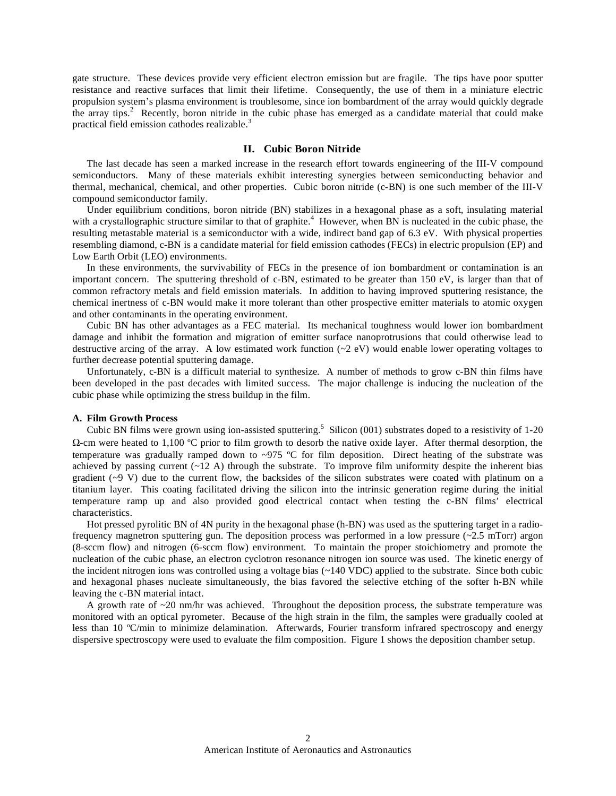gate structure. These devices provide very efficient electron emission but are fragile. The tips have poor sputter resistance and reactive surfaces that limit their lifetime. Consequently, the use of them in a miniature electric propulsion system's plasma environment is troublesome, since ion bombardment of the array would quickly degrade the array tips.<sup>2</sup> Recently, boron nitride in the cubic phase has emerged as a candidate material that could make practical field emission cathodes realizable.<sup>3</sup>

# **II. Cubic Boron Nitride**

The last decade has seen a marked increase in the research effort towards engineering of the III-V compound semiconductors. Many of these materials exhibit interesting synergies between semiconducting behavior and thermal, mechanical, chemical, and other properties. Cubic boron nitride (c-BN) is one such member of the III-V compound semiconductor family.

Under equilibrium conditions, boron nitride (BN) stabilizes in a hexagonal phase as a soft, insulating material with a crystallographic structure similar to that of graphite.<sup>4</sup> However, when BN is nucleated in the cubic phase, the resulting metastable material is a semiconductor with a wide, indirect band gap of 6.3 eV. With physical properties resembling diamond, c-BN is a candidate material for field emission cathodes (FECs) in electric propulsion (EP) and Low Earth Orbit (LEO) environments.

In these environments, the survivability of FECs in the presence of ion bombardment or contamination is an important concern. The sputtering threshold of c-BN, estimated to be greater than 150 eV, is larger than that of common refractory metals and field emission materials. In addition to having improved sputtering resistance, the chemical inertness of c-BN would make it more tolerant than other prospective emitter materials to atomic oxygen and other contaminants in the operating environment.

Cubic BN has other advantages as a FEC material. Its mechanical toughness would lower ion bombardment damage and inhibit the formation and migration of emitter surface nanoprotrusions that could otherwise lead to destructive arcing of the array. A low estimated work function  $(\sim 2 \text{ eV})$  would enable lower operating voltages to further decrease potential sputtering damage.

Unfortunately, c-BN is a difficult material to synthesize. A number of methods to grow c-BN thin films have been developed in the past decades with limited success. The major challenge is inducing the nucleation of the cubic phase while optimizing the stress buildup in the film.

### **A. Film Growth Process**

Cubic BN films were grown using ion-assisted sputtering.<sup>5</sup> Silicon (001) substrates doped to a resistivity of 1-20  $\Omega$ -cm were heated to 1,100 °C prior to film growth to desorb the native oxide layer. After thermal desorption, the temperature was gradually ramped down to ~975  $^{\circ}$ C for film deposition. Direct heating of the substrate was achieved by passing current  $(-12 \text{ A})$  through the substrate. To improve film uniformity despite the inherent bias gradient  $({\sim}9 \text{ V})$  due to the current flow, the backsides of the silicon substrates were coated with platinum on a titanium layer. This coating facilitated driving the silicon into the intrinsic generation regime during the initial temperature ramp up and also provided good electrical contact when testing the c-BN films' electrical characteristics.

Hot pressed pyrolitic BN of 4N purity in the hexagonal phase (h-BN) was used as the sputtering target in a radiofrequency magnetron sputtering gun. The deposition process was performed in a low pressure ( $\sim$ 2.5 mTorr) argon (8-sccm flow) and nitrogen (6-sccm flow) environment. To maintain the proper stoichiometry and promote the nucleation of the cubic phase, an electron cyclotron resonance nitrogen ion source was used. The kinetic energy of the incident nitrogen ions was controlled using a voltage bias (~140 VDC) applied to the substrate. Since both cubic and hexagonal phases nucleate simultaneously, the bias favored the selective etching of the softer h-BN while leaving the c-BN material intact.

A growth rate of  $\sim$ 20 nm/hr was achieved. Throughout the deposition process, the substrate temperature was monitored with an optical pyrometer. Because of the high strain in the film, the samples were gradually cooled at less than 10 ºC/min to minimize delamination. Afterwards, Fourier transform infrared spectroscopy and energy dispersive spectroscopy were used to evaluate the film composition. Figure 1 shows the deposition chamber setup.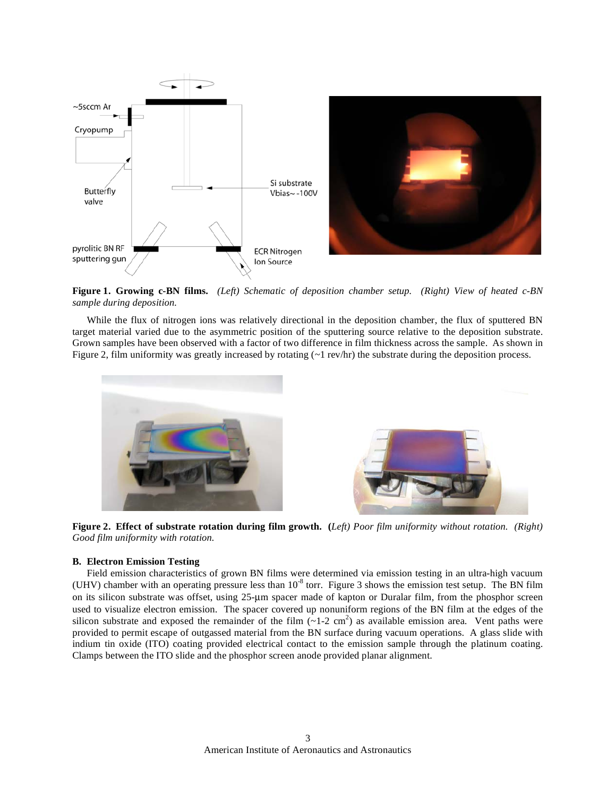

**Figure 1. Growing c-BN films.** *(Left) Schematic of deposition chamber setup. (Right) View of heated c-BN sample during deposition.* 

While the flux of nitrogen ions was relatively directional in the deposition chamber, the flux of sputtered BN target material varied due to the asymmetric position of the sputtering source relative to the deposition substrate. Grown samples have been observed with a factor of two difference in film thickness across the sample. As shown in Figure 2, film uniformity was greatly increased by rotating  $(\sim 1 \text{ rev/hr})$  the substrate during the deposition process.



**Figure 2. Effect of substrate rotation during film growth. (***Left) Poor film uniformity without rotation. (Right) Good film uniformity with rotation.* 

# **B. Electron Emission Testing**

Field emission characteristics of grown BN films were determined via emission testing in an ultra-high vacuum (UHV) chamber with an operating pressure less than  $10^{-8}$  torr. Figure 3 shows the emission test setup. The BN film on its silicon substrate was offset, using 25-μm spacer made of kapton or Duralar film, from the phosphor screen used to visualize electron emission. The spacer covered up nonuniform regions of the BN film at the edges of the silicon substrate and exposed the remainder of the film  $(-1.2 \text{ cm}^2)$  as available emission area. Vent paths were provided to permit escape of outgassed material from the BN surface during vacuum operations. A glass slide with indium tin oxide (ITO) coating provided electrical contact to the emission sample through the platinum coating. Clamps between the ITO slide and the phosphor screen anode provided planar alignment.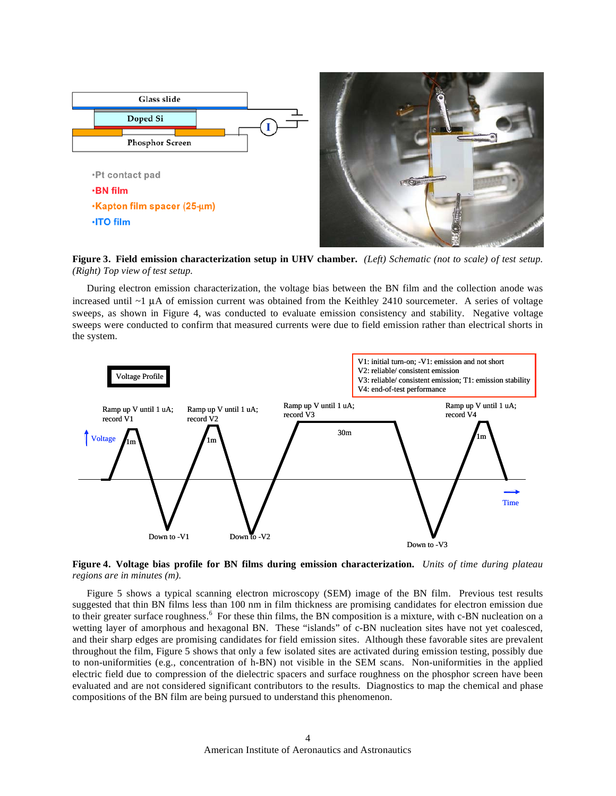



**Figure 3. Field emission characterization setup in UHV chamber.** *(Left) Schematic (not to scale) of test setup. (Right) Top view of test setup.* 

 During electron emission characterization, the voltage bias between the BN film and the collection anode was increased until  $\sim$ 1 μA of emission current was obtained from the Keithley 2410 sourcemeter. A series of voltage sweeps, as shown in Figure 4, was conducted to evaluate emission consistency and stability. Negative voltage sweeps were conducted to confirm that measured currents were due to field emission rather than electrical shorts in the system.



**Figure 4. Voltage bias profile for BN films during emission characterization.** *Units of time during plateau regions are in minutes (m).* 

 Figure 5 shows a typical scanning electron microscopy (SEM) image of the BN film. Previous test results suggested that thin BN films less than 100 nm in film thickness are promising candidates for electron emission due to their greater surface roughness.<sup>6</sup> For these thin films, the BN composition is a mixture, with c-BN nucleation on a wetting layer of amorphous and hexagonal BN. These "islands" of c-BN nucleation sites have not yet coalesced, and their sharp edges are promising candidates for field emission sites. Although these favorable sites are prevalent throughout the film, Figure 5 shows that only a few isolated sites are activated during emission testing, possibly due to non-uniformities (e.g., concentration of h-BN) not visible in the SEM scans. Non-uniformities in the applied electric field due to compression of the dielectric spacers and surface roughness on the phosphor screen have been evaluated and are not considered significant contributors to the results. Diagnostics to map the chemical and phase compositions of the BN film are being pursued to understand this phenomenon.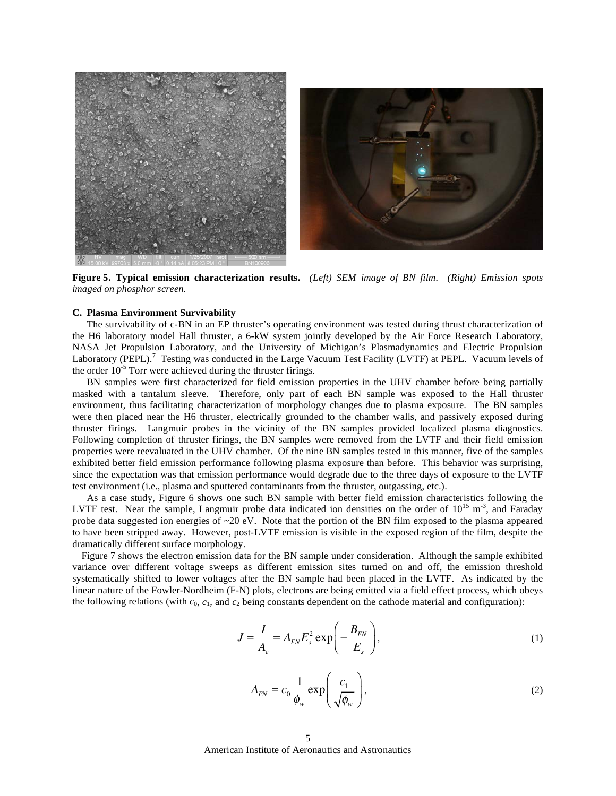

**Figure 5. Typical emission characterization results.** *(Left) SEM image of BN film. (Right) Emission spots imaged on phosphor screen.* 

#### **C. Plasma Environment Survivability**

The survivability of c-BN in an EP thruster's operating environment was tested during thrust characterization of the H6 laboratory model Hall thruster, a 6-kW system jointly developed by the Air Force Research Laboratory, NASA Jet Propulsion Laboratory, and the University of Michigan's Plasmadynamics and Electric Propulsion Laboratory (PEPL).<sup>7</sup> Testing was conducted in the Large Vacuum Test Facility (LVTF) at PEPL. Vacuum levels of the order  $10^{-5}$  Torr were achieved during the thruster firings.

BN samples were first characterized for field emission properties in the UHV chamber before being partially masked with a tantalum sleeve. Therefore, only part of each BN sample was exposed to the Hall thruster environment, thus facilitating characterization of morphology changes due to plasma exposure. The BN samples were then placed near the H6 thruster, electrically grounded to the chamber walls, and passively exposed during thruster firings. Langmuir probes in the vicinity of the BN samples provided localized plasma diagnostics. Following completion of thruster firings, the BN samples were removed from the LVTF and their field emission properties were reevaluated in the UHV chamber. Of the nine BN samples tested in this manner, five of the samples exhibited better field emission performance following plasma exposure than before. This behavior was surprising, since the expectation was that emission performance would degrade due to the three days of exposure to the LVTF test environment (i.e., plasma and sputtered contaminants from the thruster, outgassing, etc.).

As a case study, Figure 6 shows one such BN sample with better field emission characteristics following the LVTF test. Near the sample, Langmuir probe data indicated ion densities on the order of  $10^{15}$  m<sup>-3</sup>, and Faraday probe data suggested ion energies of  $\sim$ 20 eV. Note that the portion of the BN film exposed to the plasma appeared to have been stripped away. However, post-LVTF emission is visible in the exposed region of the film, despite the dramatically different surface morphology.

Figure 7 shows the electron emission data for the BN sample under consideration. Although the sample exhibited variance over different voltage sweeps as different emission sites turned on and off, the emission threshold systematically shifted to lower voltages after the BN sample had been placed in the LVTF. As indicated by the linear nature of the Fowler-Nordheim (F-N) plots, electrons are being emitted via a field effect process, which obeys the following relations (with  $c_0$ ,  $c_1$ , and  $c_2$  being constants dependent on the cathode material and configuration):

$$
J = \frac{I}{A_e} = A_{FN} E_s^2 \exp\left(-\frac{B_{FN}}{E_s}\right),\tag{1}
$$

$$
A_{FN} = c_0 \frac{1}{\phi_w} \exp\left(\frac{c_1}{\sqrt{\phi_w}}\right),\tag{2}
$$

American Institute of Aeronautics and Astronautics 5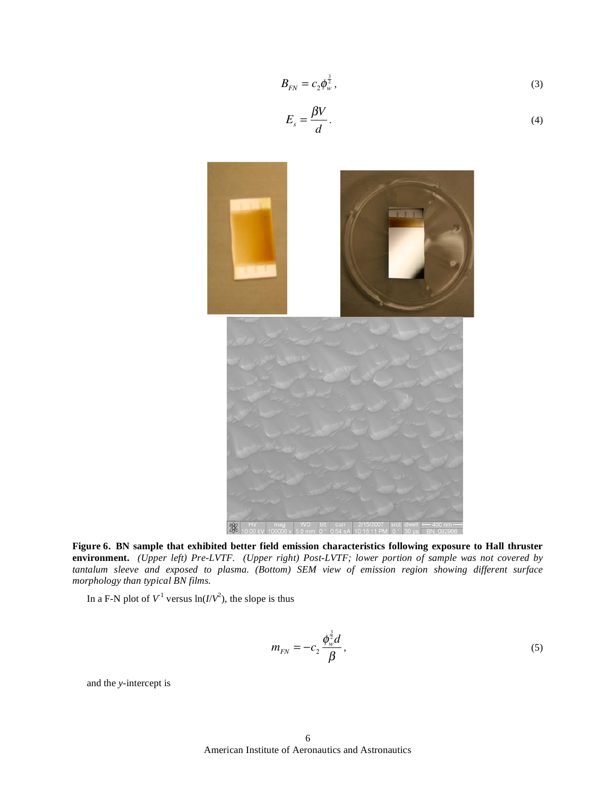$$
B_{FN} = c_2 \phi_w^{\frac{3}{2}},
$$
 (3)

$$
E_s = \frac{\beta V}{d} \,. \tag{4}
$$



**Figure 6. BN sample that exhibited better field emission characteristics following exposure to Hall thruster environment.** *(Upper left) Pre-LVTF. (Upper right) Post-LVTF; lower portion of sample was not covered by tantalum sleeve and exposed to plasma. (Bottom) SEM view of emission region showing different surface morphology than typical BN films.* 

In a F-N plot of  $V^1$  versus  $ln(I/V^2)$ , the slope is thus

$$
m_{FN} = -c_2 \frac{\phi_w^{\frac{3}{2}} d}{\beta},\tag{5}
$$

and the *y*-intercept is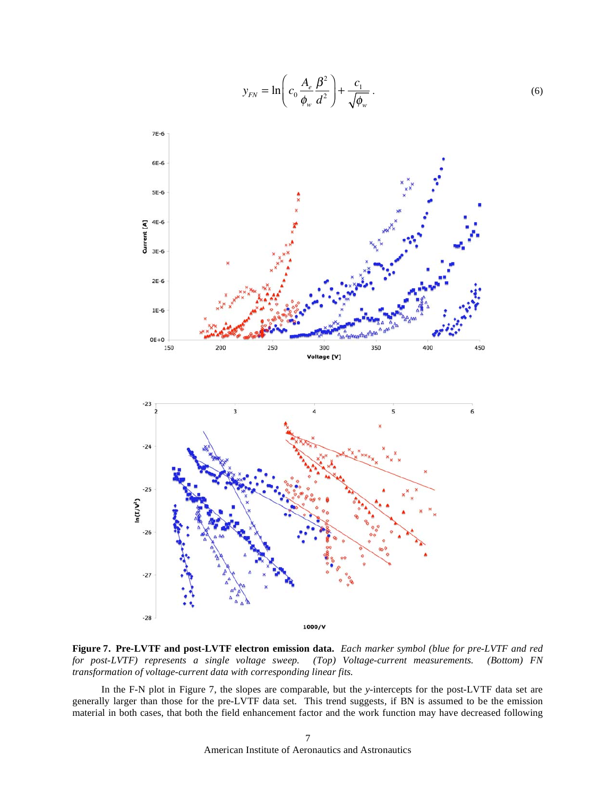

**Figure 7. Pre-LVTF and post-LVTF electron emission data.** *Each marker symbol (blue for pre-LVTF and red for post-LVTF) represents a single voltage sweep. (Top) Voltage-current measurements. (Bottom) FN transformation of voltage-current data with corresponding linear fits.* 

 In the F-N plot in Figure 7, the slopes are comparable, but the *y*-intercepts for the post-LVTF data set are generally larger than those for the pre-LVTF data set. This trend suggests, if BN is assumed to be the emission material in both cases, that both the field enhancement factor and the work function may have decreased following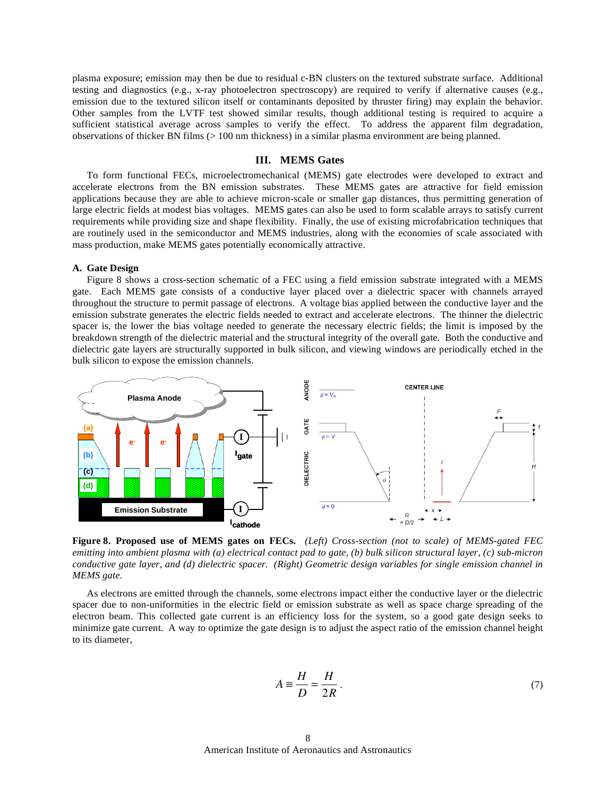plasma exposure; emission may then be due to residual c-BN clusters on the textured substrate surface. Additional testing and diagnostics (e.g., x-ray photoelectron spectroscopy) are required to verify if alternative causes (e.g., emission due to the textured silicon itself or contaminants deposited by thruster firing) may explain the behavior. Other samples from the LVTF test showed similar results, though additional testing is required to acquire a sufficient statistical average across samples to verify the effect. To address the apparent film degradation, observations of thicker BN films (> 100 nm thickness) in a similar plasma environment are being planned.

# **III. MEMS Gates**

To form functional FECs, microelectromechanical (MEMS) gate electrodes were developed to extract and accelerate electrons from the BN emission substrates. These MEMS gates are attractive for field emission applications because they are able to achieve micron-scale or smaller gap distances, thus permitting generation of large electric fields at modest bias voltages. MEMS gates can also be used to form scalable arrays to satisfy current requirements while providing size and shape flexibility. Finally, the use of existing microfabrication techniques that are routinely used in the semiconductor and MEMS industries, along with the economies of scale associated with mass production, make MEMS gates potentially economically attractive.

#### **A. Gate Design**

Figure 8 shows a cross-section schematic of a FEC using a field emission substrate integrated with a MEMS gate. Each MEMS gate consists of a conductive layer placed over a dielectric spacer with channels arrayed throughout the structure to permit passage of electrons. A voltage bias applied between the conductive layer and the emission substrate generates the electric fields needed to extract and accelerate electrons. The thinner the dielectric spacer is, the lower the bias voltage needed to generate the necessary electric fields; the limit is imposed by the breakdown strength of the dielectric material and the structural integrity of the overall gate. Both the conductive and dielectric gate layers are structurally supported in bulk silicon, and viewing windows are periodically etched in the bulk silicon to expose the emission channels.



**Figure 8. Proposed use of MEMS gates on FECs.** *(Left) Cross-section (not to scale) of MEMS-gated FEC emitting into ambient plasma with (a) electrical contact pad to gate, (b) bulk silicon structural layer, (c) sub-micron conductive gate layer, and (d) dielectric spacer. (Right) Geometric design variables for single emission channel in MEMS gate.* 

As electrons are emitted through the channels, some electrons impact either the conductive layer or the dielectric spacer due to non-uniformities in the electric field or emission substrate as well as space charge spreading of the electron beam. This collected gate current is an efficiency loss for the system, so a good gate design seeks to minimize gate current. A way to optimize the gate design is to adjust the aspect ratio of the emission channel height to its diameter,

$$
A \equiv \frac{H}{D} = \frac{H}{2R} \,. \tag{7}
$$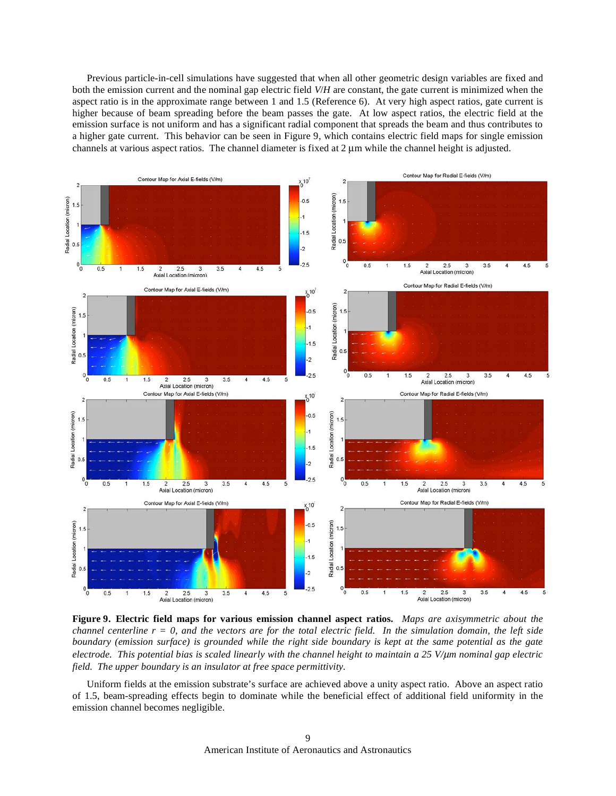Previous particle-in-cell simulations have suggested that when all other geometric design variables are fixed and both the emission current and the nominal gap electric field *V*/*H* are constant, the gate current is minimized when the aspect ratio is in the approximate range between 1 and 1.5 (Reference 6). At very high aspect ratios, gate current is higher because of beam spreading before the beam passes the gate. At low aspect ratios, the electric field at the emission surface is not uniform and has a significant radial component that spreads the beam and thus contributes to a higher gate current. This behavior can be seen in Figure 9, which contains electric field maps for single emission channels at various aspect ratios. The channel diameter is fixed at 2 μm while the channel height is adjusted.



**Figure 9. Electric field maps for various emission channel aspect ratios.** *Maps are axisymmetric about the channel centerline r = 0, and the vectors are for the total electric field. In the simulation domain, the left side boundary (emission surface) is grounded while the right side boundary is kept at the same potential as the gate electrode. This potential bias is scaled linearly with the channel height to maintain a 25 V/*μ*m nominal gap electric field. The upper boundary is an insulator at free space permittivity.* 

 Uniform fields at the emission substrate's surface are achieved above a unity aspect ratio. Above an aspect ratio of 1.5, beam-spreading effects begin to dominate while the beneficial effect of additional field uniformity in the emission channel becomes negligible.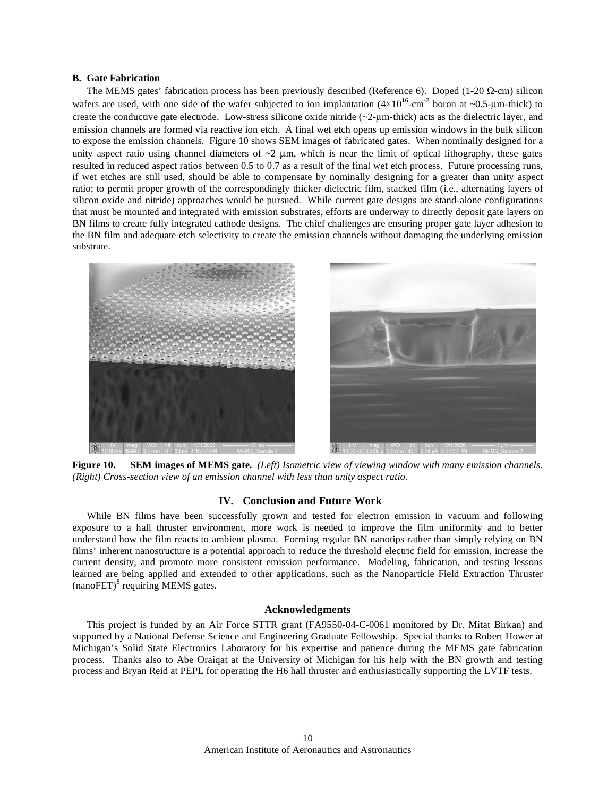# **B. Gate Fabrication**

The MEMS gates' fabrication process has been previously described (Reference 6). Doped (1-20  $\Omega$ -cm) silicon wafers are used, with one side of the wafer subjected to ion implantation  $(4\times10^{16}$ -cm<sup>-2</sup> boron at ~0.5-µm-thick) to create the conductive gate electrode. Low-stress silicone oxide nitride (~2-μm-thick) acts as the dielectric layer, and emission channels are formed via reactive ion etch. A final wet etch opens up emission windows in the bulk silicon to expose the emission channels. Figure 10 shows SEM images of fabricated gates. When nominally designed for a unity aspect ratio using channel diameters of  $\sim$ 2  $\mu$ m, which is near the limit of optical lithography, these gates resulted in reduced aspect ratios between 0.5 to 0.7 as a result of the final wet etch process. Future processing runs, if wet etches are still used, should be able to compensate by nominally designing for a greater than unity aspect ratio; to permit proper growth of the correspondingly thicker dielectric film, stacked film (i.e., alternating layers of silicon oxide and nitride) approaches would be pursued. While current gate designs are stand-alone configurations that must be mounted and integrated with emission substrates, efforts are underway to directly deposit gate layers on BN films to create fully integrated cathode designs. The chief challenges are ensuring proper gate layer adhesion to the BN film and adequate etch selectivity to create the emission channels without damaging the underlying emission substrate.



**Figure 10. SEM images of MEMS gate.** *(Left) Isometric view of viewing window with many emission channels. (Right) Cross-section view of an emission channel with less than unity aspect ratio.* 

## **IV. Conclusion and Future Work**

While BN films have been successfully grown and tested for electron emission in vacuum and following exposure to a hall thruster environment, more work is needed to improve the film uniformity and to better understand how the film reacts to ambient plasma. Forming regular BN nanotips rather than simply relying on BN films' inherent nanostructure is a potential approach to reduce the threshold electric field for emission, increase the current density, and promote more consistent emission performance. Modeling, fabrication, and testing lessons learned are being applied and extended to other applications, such as the Nanoparticle Field Extraction Thruster  $(nanoFET)^8$  requiring MEMS gates.

## **Acknowledgments**

This project is funded by an Air Force STTR grant (FA9550-04-C-0061 monitored by Dr. Mitat Birkan) and supported by a National Defense Science and Engineering Graduate Fellowship. Special thanks to Robert Hower at Michigan's Solid State Electronics Laboratory for his expertise and patience during the MEMS gate fabrication process. Thanks also to Abe Oraiqat at the University of Michigan for his help with the BN growth and testing process and Bryan Reid at PEPL for operating the H6 hall thruster and enthusiastically supporting the LVTF tests.